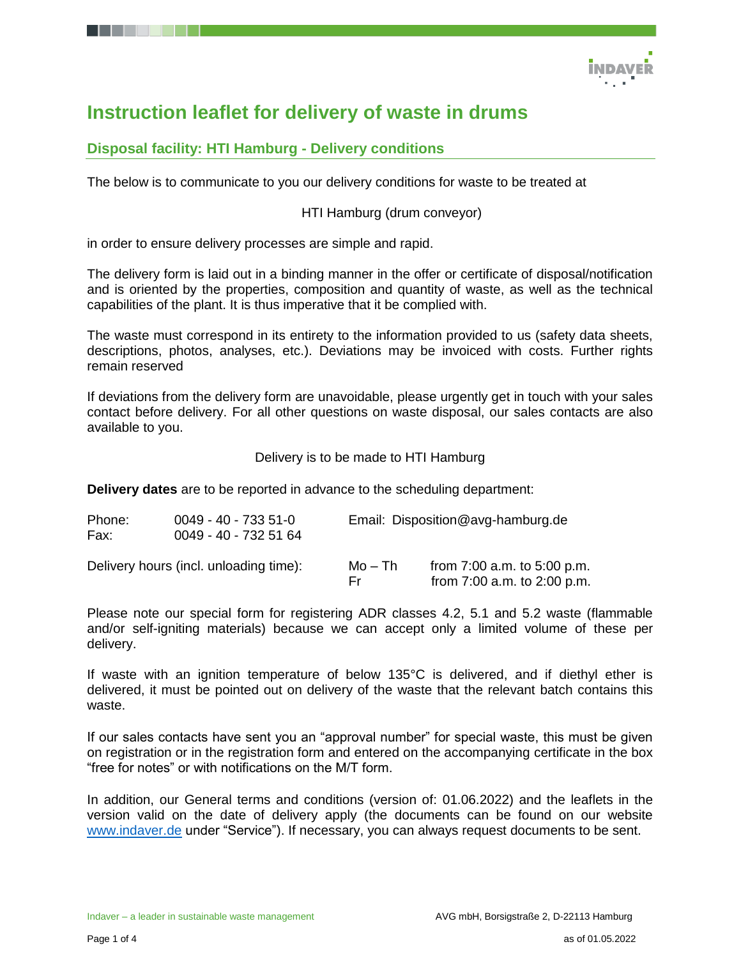

# **Instruction leaflet for delivery of waste in drums**

# **Disposal facility: HTI Hamburg - Delivery conditions**

The below is to communicate to you our delivery conditions for waste to be treated at

### HTI Hamburg (drum conveyor)

in order to ensure delivery processes are simple and rapid.

The delivery form is laid out in a binding manner in the offer or certificate of disposal/notification and is oriented by the properties, composition and quantity of waste, as well as the technical capabilities of the plant. It is thus imperative that it be complied with.

The waste must correspond in its entirety to the information provided to us (safety data sheets, descriptions, photos, analyses, etc.). Deviations may be invoiced with costs. Further rights remain reserved

If deviations from the delivery form are unavoidable, please urgently get in touch with your sales contact before delivery. For all other questions on waste disposal, our sales contacts are also available to you.

#### Delivery is to be made to HTI Hamburg

**Delivery dates** are to be reported in advance to the scheduling department:

| Phone:<br>Fax: | $0049 - 40 - 7335 - 51 - 0$<br>0049 - 40 - 732 51 64 |                | Email: Disposition@avg-hamburg.de                              |  |  |
|----------------|------------------------------------------------------|----------------|----------------------------------------------------------------|--|--|
|                | Delivery hours (incl. unloading time):               | Mo – Th<br>Er. | from $7:00$ a.m. to $5:00$ p.m.<br>from 7:00 a.m. to 2:00 p.m. |  |  |

Please note our special form for registering ADR classes 4.2, 5.1 and 5.2 waste (flammable and/or self-igniting materials) because we can accept only a limited volume of these per delivery.

If waste with an ignition temperature of below 135°C is delivered, and if diethyl ether is delivered, it must be pointed out on delivery of the waste that the relevant batch contains this waste.

If our sales contacts have sent you an "approval number" for special waste, this must be given on registration or in the registration form and entered on the accompanying certificate in the box "free for notes" or with notifications on the M/T form.

In addition, our General terms and conditions (version of: 01.06.2022) and the leaflets in the version valid on the date of delivery apply (the documents can be found on our website [www.indaver.de](http://www.indaver.de/) under "Service"). If necessary, you can always request documents to be sent.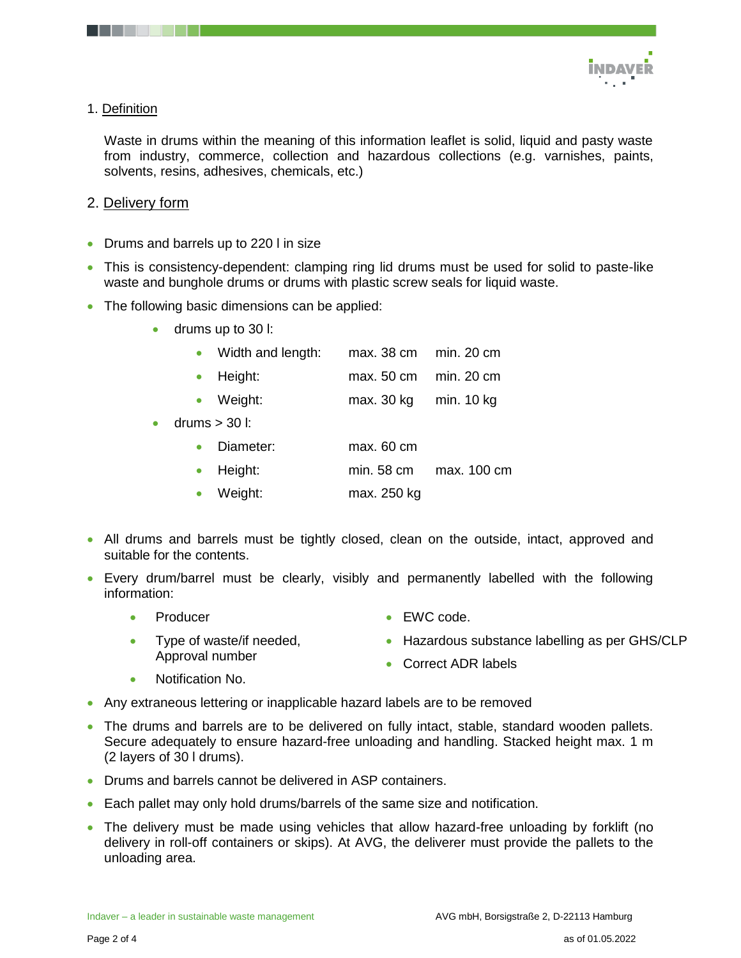

## 1. Definition

Waste in drums within the meaning of this information leaflet is solid, liquid and pasty waste from industry, commerce, collection and hazardous collections (e.g. varnishes, paints, solvents, resins, adhesives, chemicals, etc.)

## 2. Delivery form

- Drums and barrels up to 220 l in size
- This is consistency-dependent: clamping ring lid drums must be used for solid to paste-like waste and bunghole drums or drums with plastic screw seals for liquid waste.
- The following basic dimensions can be applied:
	- drums up to 30 l:

|           | • Width and length:  | $max. 38 cm$ min. 20 cm |              |
|-----------|----------------------|-------------------------|--------------|
|           | $\bullet$ Height:    | max. 50 cm  min. 20 cm  |              |
|           | Weight:<br>$\bullet$ | max. 30 kg              | min. $10$ kg |
| $\bullet$ | drums $>$ 30 l:      |                         |              |
|           | Diameter:            | max. 60 cm              |              |
|           | Height:              | min. 58 cm              | max. 100 cm  |

- Weight: max. 250 kg
- All drums and barrels must be tightly closed, clean on the outside, intact, approved and suitable for the contents.
- Every drum/barrel must be clearly, visibly and permanently labelled with the following information:
	- Producer • EWC code.
		- Hazardous substance labelling as per GHS/CLP
	- Type of waste/if needed, Approval number
- Correct ADR labels

- Notification No.
- Any extraneous lettering or inapplicable hazard labels are to be removed
- The drums and barrels are to be delivered on fully intact, stable, standard wooden pallets. Secure adequately to ensure hazard-free unloading and handling. Stacked height max. 1 m (2 layers of 30 l drums).
- Drums and barrels cannot be delivered in ASP containers.
- Each pallet may only hold drums/barrels of the same size and notification.
- The delivery must be made using vehicles that allow hazard-free unloading by forklift (no delivery in roll-off containers or skips). At AVG, the deliverer must provide the pallets to the unloading area.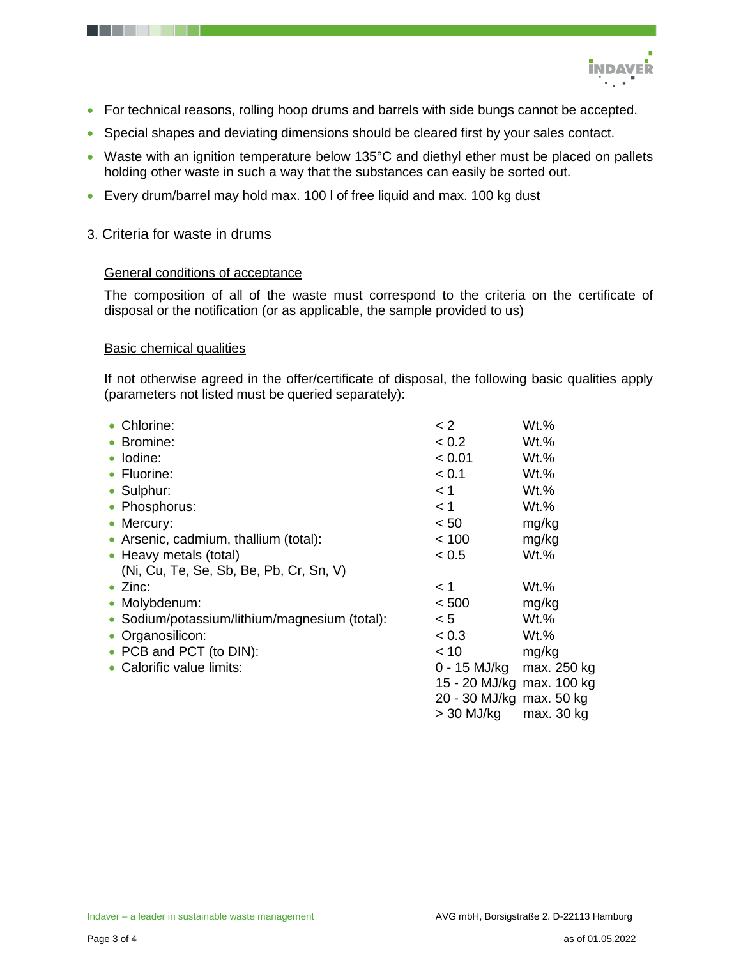

- For technical reasons, rolling hoop drums and barrels with side bungs cannot be accepted.
- Special shapes and deviating dimensions should be cleared first by your sales contact.
- Waste with an ignition temperature below 135°C and diethyl ether must be placed on pallets holding other waste in such a way that the substances can easily be sorted out.
- Every drum/barrel may hold max. 100 l of free liquid and max. 100 kg dust

## 3. Criteria for waste in drums

#### General conditions of acceptance

The composition of all of the waste must correspond to the criteria on the certificate of disposal or the notification (or as applicable, the sample provided to us)

#### Basic chemical qualities

If not otherwise agreed in the offer/certificate of disposal, the following basic qualities apply (parameters not listed must be queried separately):

| • Chlorine:                                   | $\leq$ 2                  | $Wt.$ %     |
|-----------------------------------------------|---------------------------|-------------|
| • Bromine:                                    | < 0.2                     | Wt.%        |
| • Iodine:                                     | < 0.01                    | $Wt.$ %     |
| • Fluorine:                                   | < 0.1                     | $Wt.$ %     |
| • Sulphur:                                    | < 1                       | Wt.%        |
| • Phosphorus:                                 | < 1                       | $Wt.$ %     |
| • Mercury:                                    | < 50                      | mg/kg       |
| • Arsenic, cadmium, thallium (total):         | < 100                     | mg/kg       |
| • Heavy metals (total)                        | < 0.5                     | $Wt.$ %     |
| (Ni, Cu, Te, Se, Sb, Be, Pb, Cr, Sn, V)       |                           |             |
| $\bullet$ Zinc:                               | 1 >                       | $Wt.$ %     |
| • Molybdenum:                                 | < 500                     | mg/kg       |
| • Sodium/potassium/lithium/magnesium (total): | < 5                       | $Wt.\%$     |
| • Organosilicon:                              | < 0.3                     | $Wt.$ %     |
| • PCB and PCT (to DIN):                       | < 10                      | mg/kg       |
| • Calorific value limits:                     | 0 - 15 MJ/kg              | max. 250 kg |
|                                               | 15 - 20 MJ/kg max. 100 kg |             |
|                                               | 20 - 30 MJ/kg max. 50 kg  |             |
|                                               | $>$ 30 MJ/kg              | max. 30 kg  |